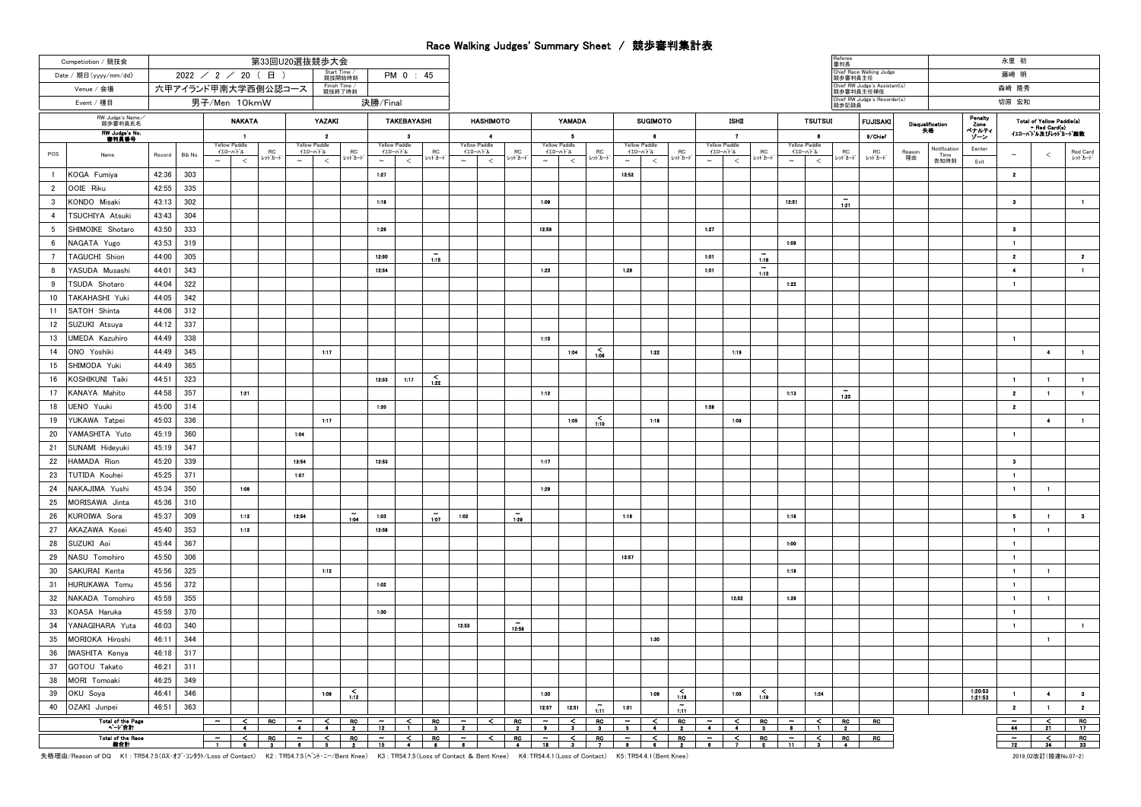## Race Walking Judges' Summary Sheet / 競歩審判集計表

| Competiotion / 競技会                | 第33回U20選抜競歩大会                                              |                  |                                           |           |                       |         |                |                          |       |                 |                                 |       |               |                                 |       |                 |                                                   |               |         |              |                                                             |               |                                |       | 審判長                                        |                                     |                  |              |                      | 永里 初                      |                                     |                |
|-----------------------------------|------------------------------------------------------------|------------------|-------------------------------------------|-----------|-----------------------|---------|----------------|--------------------------|-------|-----------------|---------------------------------|-------|---------------|---------------------------------|-------|-----------------|---------------------------------------------------|---------------|---------|--------------|-------------------------------------------------------------|---------------|--------------------------------|-------|--------------------------------------------|-------------------------------------|------------------|--------------|----------------------|---------------------------|-------------------------------------|----------------|
| Date / 期日 (yyyy/mm/dd)            | Start Time /<br>競技開始時刻<br>$2022$ / 2 / 20 (日)<br>PM 0 : 45 |                  |                                           |           |                       |         |                |                          |       |                 |                                 |       |               |                                 |       |                 |                                                   |               |         |              |                                                             |               |                                |       |                                            | Chief Race Walking Judge<br>競歩審判員主任 |                  |              |                      | 藤崎 明                      |                                     |                |
| Venue / 会場                        | Finish Time /<br>競技終了時刻<br>六甲アイランド甲南大学西側公認コース              |                  |                                           |           |                       |         |                |                          |       |                 |                                 |       |               |                                 |       |                 |                                                   |               |         |              |                                                             |               |                                |       | Chief RW Judge's Assistant(s)<br>競歩審判員主任補佐 |                                     |                  |              | 森崎 隆秀                |                           |                                     |                |
| Event / 種目                        | 男子/Men 10kmW                                               |                  |                                           |           | 決勝/Final              |         |                |                          |       |                 |                                 |       |               |                                 |       |                 |                                                   |               |         |              |                                                             | 競歩記録員         | Chief RW Judge's Recorder(s)   |       |                                            |                                     | 切原 宏和            |              |                      |                           |                                     |                |
| RW Judge's Name<br>競歩審判員氏名        |                                                            |                  | <b>NAKATA</b>                             |           | YAZAKI<br>TAKEBAYASHI |         |                |                          |       |                 | <b>HASHIMOTO</b>                |       |               | <b>YAMADA</b>                   |       |                 | <b>SUGIMOTO</b>                                   |               |         | <b>ISHD</b>  |                                                             |               | <b>TSUTSUI</b>                 |       | <b>FUJISAKI</b>                            |                                     | Disqualification | Panalty      |                      | Total of Yellow Paddle(s) |                                     |                |
| <b>RW Judge's No</b><br>書判員番号     |                                                            | -1               |                                           |           | $\overline{2}$        |         |                | - 21                     |       |                 | $\overline{\phantom{a}}$        |       |               | - 5                             |       |                 | $\bullet$                                         |               |         | $\mathbf{z}$ |                                                             |               |                                | -8    |                                            | 9/Chief                             |                  | 失格           | Zono<br>ペナルティ<br>ソーン |                           | + Red Card(s)<br>イエローハトル及びレットカート 総数 |                |
|                                   |                                                            |                  | Yellow Paddle<br>イエローバドル                  | <b>RC</b> | <b>Yellow Paddle</b>  | イエローバトル | <b>RC</b>      | Yellow Paddle<br>イエローバトル |       | <b>RC</b>       | <b>Yellow Paddle</b><br>イエローバドル |       | ${\sf RC}$    | <b>Yellow Paddle</b><br>イエローバトル |       | ${\sf RC}$      | <b>Yellow Paddle</b><br>イエローバトル                   |               | RC      | イエローバトル      | Yellow Paddle                                               | RC            | Yellow Paddle<br>イエローバトル       |       | ${\sf RC}$                                 | <b>RC</b>                           | Reason           | Notification | Eenter               |                           |                                     | Red Card       |
| POS<br>Name                       | Record                                                     | Bib No<br>$\sim$ | $\,<$                                     | レットカート    | $\sim$                | $\,<$   | レットカート         | $\sim$                   | $\,<$ | レットカード          | $\sim$                          | $\,<$ | レットカード        | $\sim$                          | $\,<$ | レットカート          | $\sim$                                            | $\,<$         | レットカード  | $\sim$       | $\,<$                                                       | レットカード        | $\sim$                         | $\,<$ | レットカート                                     | レットカート                              | 理由               | Time<br>告知時刻 | Exit                 | $\sim$                    | ≺                                   | レッドカード         |
| KOGA Fumiya<br>$\overline{1}$     | 42:36                                                      | 303              |                                           |           |                       |         |                | 1:27                     |       |                 |                                 |       |               |                                 |       |                 | 12:52                                             |               |         |              |                                                             |               |                                |       |                                            |                                     |                  |              |                      | $\mathbf{2}$              |                                     |                |
| $\overline{2}$<br>OOIE Riku       | 42:55                                                      | 335              |                                           |           |                       |         |                |                          |       |                 |                                 |       |               |                                 |       |                 |                                                   |               |         |              |                                                             |               |                                |       |                                            |                                     |                  |              |                      |                           |                                     |                |
| KONDO Misaki<br>$\mathbf{R}$      | 43:13                                                      | 302              |                                           |           |                       |         |                | 1:18                     |       |                 |                                 |       |               | 1:09                            |       |                 |                                                   |               |         |              |                                                             |               | 12.51                          |       | $\tilde{12}$                               |                                     |                  |              |                      | $\bullet$                 |                                     | $\blacksquare$ |
| $\overline{4}$<br>TSUCHIYA Atsuki | 43:43                                                      | 304              |                                           |           |                       |         |                |                          |       |                 |                                 |       |               |                                 |       |                 |                                                   |               |         |              |                                                             |               |                                |       |                                            |                                     |                  |              |                      |                           |                                     |                |
| -5<br>SHIMOIKE Shotaro            | 43:50                                                      | 333              |                                           |           |                       |         |                | 1:29                     |       |                 |                                 |       |               | 12:59                           |       |                 |                                                   |               |         | 1:27         |                                                             |               |                                |       |                                            |                                     |                  |              |                      | $\bullet$                 |                                     |                |
| NAGATA Yugo<br>- 6                | 43:53                                                      | 319              |                                           |           |                       |         |                |                          |       |                 |                                 |       |               |                                 |       |                 |                                                   |               |         |              |                                                             |               | 1:09                           |       |                                            |                                     |                  |              |                      | $\blacksquare$            |                                     |                |
| $\overline{7}$<br>TAGUCHI Shion   | 44:00                                                      | 305              |                                           |           |                       |         |                | 12:50                    |       | 1.15            |                                 |       |               |                                 |       |                 |                                                   |               |         | 1:01         |                                                             | 1.18          |                                |       |                                            |                                     |                  |              |                      | $\mathbf{2}$              |                                     | $\mathbf{2}$   |
| YASUDA Musashi<br>8               | 44:01                                                      | 343              |                                           |           |                       |         |                | 12:54                    |       |                 |                                 |       |               | 1:23                            |       |                 | 1:28                                              |               |         | 1:01         |                                                             | $\tilde{113}$ |                                |       |                                            |                                     |                  |              |                      | $\overline{\phantom{a}}$  |                                     | $\mathbf{1}$   |
| TSUDA Shotaro<br>9                | 44:04                                                      | 322              |                                           |           |                       |         |                |                          |       |                 |                                 |       |               |                                 |       |                 |                                                   |               |         |              |                                                             |               | 1:22                           |       |                                            |                                     |                  |              |                      | $\mathbf{1}$              |                                     |                |
| 10<br>TAKAHASHI Yuki              | 44:05                                                      | 342              |                                           |           |                       |         |                |                          |       |                 |                                 |       |               |                                 |       |                 |                                                   |               |         |              |                                                             |               |                                |       |                                            |                                     |                  |              |                      |                           |                                     |                |
| 11<br>SATOH Shinta                | 44:06                                                      | 312              |                                           |           |                       |         |                |                          |       |                 |                                 |       |               |                                 |       |                 |                                                   |               |         |              |                                                             |               |                                |       |                                            |                                     |                  |              |                      |                           |                                     |                |
| 12<br>SUZUKI Atsuya               | 44:12                                                      | 337              |                                           |           |                       |         |                |                          |       |                 |                                 |       |               |                                 |       |                 |                                                   |               |         |              |                                                             |               |                                |       |                                            |                                     |                  |              |                      |                           |                                     |                |
| 13<br>JMEDA Kazuhiro              | 44:49                                                      | 338              |                                           |           |                       |         |                |                          |       |                 |                                 |       |               | 1:15                            |       |                 |                                                   |               |         |              |                                                             |               |                                |       |                                            |                                     |                  |              |                      | $\blacksquare$            |                                     |                |
| 14<br>ONO Yoshiki                 | 44:49                                                      | 345              |                                           |           |                       | 1:17    |                |                          |       |                 |                                 |       |               |                                 | 1.04  | $\frac{5}{100}$ |                                                   | 1:22          |         |              | 1:19                                                        |               |                                |       |                                            |                                     |                  |              |                      |                           | $\mathcal{A}$ .                     | $\blacksquare$ |
| 15<br>SHIMODA Yuki                | 44:49                                                      | 365              |                                           |           |                       |         |                |                          |       |                 |                                 |       |               |                                 |       |                 |                                                   |               |         |              |                                                             |               |                                |       |                                            |                                     |                  |              |                      |                           |                                     |                |
| KOSHIKUNI Taiki<br>16             | 44:51                                                      | 323              |                                           |           |                       |         |                | 12:53                    | 1:17  | $\frac{5}{122}$ |                                 |       |               |                                 |       |                 |                                                   |               |         |              |                                                             |               |                                |       |                                            |                                     |                  |              |                      | $\blacksquare$            | $\blacksquare$                      | $\blacksquare$ |
| 17<br>KANAYA Mahito               | 44:58                                                      | 357              | 1:21                                      |           |                       |         |                |                          |       |                 |                                 |       |               | 1:12                            |       |                 |                                                   |               |         |              |                                                             |               | 1:13                           |       | $\widetilde{1.23}$                         |                                     |                  |              |                      | $\mathbf{z}$              | $\blacksquare$                      | $\blacksquare$ |
| 18<br>UENO Yuuki                  | 45:00                                                      | 314              |                                           |           |                       |         |                | 1:20                     |       |                 |                                 |       |               |                                 |       |                 |                                                   |               |         | 1:28         |                                                             |               |                                |       |                                            |                                     |                  |              |                      | $\mathbf{2}$              |                                     |                |
| 19<br>YUKAWA Tatpei               | 45:03                                                      | 336              |                                           |           |                       | 1:17    |                |                          |       |                 |                                 |       |               |                                 | 1:05  | 1.10            |                                                   | 1:18          |         |              | 1:09                                                        |               |                                |       |                                            |                                     |                  |              |                      |                           | $\bullet$                           | $\mathbf{1}$   |
| 20<br>YAMASHITA Yuto              | 45:19                                                      | 360              |                                           |           | 1:04                  |         |                |                          |       |                 |                                 |       |               |                                 |       |                 |                                                   |               |         |              |                                                             |               |                                |       |                                            |                                     |                  |              |                      | $\blacksquare$            |                                     |                |
| SUNAMI Hideyuki<br>21             | 45:19                                                      | 347              |                                           |           |                       |         |                |                          |       |                 |                                 |       |               |                                 |       |                 |                                                   |               |         |              |                                                             |               |                                |       |                                            |                                     |                  |              |                      |                           |                                     |                |
| 22<br>HAMADA Rion                 | 45:20                                                      | 339              |                                           |           | 12:54                 |         |                | 12:53                    |       |                 |                                 |       |               | 1:17                            |       |                 |                                                   |               |         |              |                                                             |               |                                |       |                                            |                                     |                  |              |                      | $\bullet$                 |                                     |                |
| 23<br>TUTIDA Kouhei               | 45:25                                                      | 371              |                                           |           | 1:07                  |         |                |                          |       |                 |                                 |       |               |                                 |       |                 |                                                   |               |         |              |                                                             |               |                                |       |                                            |                                     |                  |              |                      | $\blacksquare$            |                                     |                |
| NAKAJIMA Yushi<br>24              | 45:34                                                      | 350              | 1:08                                      |           |                       |         |                |                          |       |                 |                                 |       |               | 1:29                            |       |                 |                                                   |               |         |              |                                                             |               |                                |       |                                            |                                     |                  |              |                      | $\mathbf{1}$              | $\mathbf{1}$                        |                |
| 25<br>MORISAWA Jinta              | 45:36                                                      | 310              |                                           |           |                       |         |                |                          |       |                 |                                 |       |               |                                 |       |                 |                                                   |               |         |              |                                                             |               |                                |       |                                            |                                     |                  |              |                      |                           |                                     |                |
| 26<br>KUROIWA Sora                | 45:37                                                      | 309              | 1:12                                      |           | 12:54                 |         | $\tilde{1.04}$ | 1:03                     |       | $\tilde{1:07}$  | 1:02                            |       | $\tilde{120}$ |                                 |       |                 | 1:19                                              |               |         |              |                                                             |               | 1:18                           |       |                                            |                                     |                  |              |                      | $\overline{5}$            | $\blacksquare$                      | $\bullet$      |
| 27<br>AKAZAWA Kosei               | 45:40                                                      | 353              | 1:12                                      |           |                       |         |                | 12:58                    |       |                 |                                 |       |               |                                 |       |                 |                                                   |               |         |              |                                                             |               |                                |       |                                            |                                     |                  |              |                      | $\mathbf{1}$              | $\blacksquare$                      |                |
| 28<br>SUZUKI Aoi                  | 45:44                                                      | 367              |                                           |           |                       |         |                |                          |       |                 |                                 |       |               |                                 |       |                 |                                                   |               |         |              |                                                             |               | 1:00                           |       |                                            |                                     |                  |              |                      | $\blacksquare$            |                                     |                |
| 29<br>NASU Tomohiro               | 45:50                                                      | 306              |                                           |           |                       |         |                |                          |       |                 |                                 |       |               |                                 |       |                 | 12:57                                             |               |         |              |                                                             |               |                                |       |                                            |                                     |                  |              |                      | $\blacksquare$            |                                     |                |
| 30<br>SAKURAI Kenta               | 45:56                                                      | 325              |                                           |           |                       | 1:12    |                |                          |       |                 |                                 |       |               |                                 |       |                 |                                                   |               |         |              |                                                             |               | 1:19                           |       |                                            |                                     |                  |              |                      | $\blacksquare$            | $\blacksquare$                      |                |
| 31<br><b>HURUKAWA Tomu</b>        | 45:56                                                      | 372              |                                           |           |                       |         |                | 1:02                     |       |                 |                                 |       |               |                                 |       |                 |                                                   |               |         |              |                                                             |               |                                |       |                                            |                                     |                  |              |                      | $\blacksquare$            |                                     |                |
| 32<br>NAKADA Tomohiro             | 45:59                                                      | 355              |                                           |           |                       |         |                |                          |       |                 |                                 |       |               |                                 |       |                 |                                                   |               |         |              | 12:52                                                       |               | 1:29                           |       |                                            |                                     |                  |              |                      | $\blacksquare$            | $\mathbf{1}$                        |                |
| 33<br>KOASA Haruka                | 45:59                                                      | 370              |                                           |           |                       |         |                | 1:30                     |       |                 |                                 |       |               |                                 |       |                 |                                                   |               |         |              |                                                             |               |                                |       |                                            |                                     |                  |              |                      | $\blacksquare$            |                                     |                |
| 34<br>YANAGIHARA Yuta             | 46:03                                                      | 340              |                                           |           |                       |         |                |                          |       |                 | 12.53                           |       | 12:58         |                                 |       |                 |                                                   |               |         |              |                                                             |               |                                |       |                                            |                                     |                  |              |                      | $\overline{\phantom{a}}$  |                                     | $\blacksquare$ |
| 35<br>MORIOKA Hiroshi             | 46:11                                                      | 344              |                                           |           |                       |         |                |                          |       |                 |                                 |       |               |                                 |       |                 |                                                   | 1:30          |         |              |                                                             |               |                                |       |                                            |                                     |                  |              |                      |                           | $\blacksquare$                      |                |
| 36<br><b>IWASHITA Kenya</b>       | 46:18                                                      | 317              |                                           |           |                       |         |                |                          |       |                 |                                 |       |               |                                 |       |                 |                                                   |               |         |              |                                                             |               |                                |       |                                            |                                     |                  |              |                      |                           |                                     |                |
| 37<br>GOTOU Takato                | 46:21                                                      | 311              |                                           |           |                       |         |                |                          |       |                 |                                 |       |               |                                 |       |                 |                                                   |               |         |              |                                                             |               |                                |       |                                            |                                     |                  |              |                      |                           |                                     |                |
| MORI Tomoaki<br>38                | 46:25                                                      | 349              |                                           |           |                       |         |                |                          |       |                 |                                 |       |               |                                 |       |                 |                                                   |               |         |              |                                                             |               |                                |       |                                            |                                     |                  |              |                      |                           |                                     |                |
| 39<br>OKU Soya                    | 46:41                                                      | 346              |                                           |           |                       | 1:08    | 1:12           |                          |       |                 |                                 |       |               | 1:30                            |       |                 |                                                   | 1:09          | $-1.19$ |              | 1:05                                                        | 1.19          |                                | 1:24  |                                            |                                     |                  |              | 1:20:53<br>1:21:53   | $\mathbf{1}$              | $\ddot{\phantom{1}}$                | $\bullet$      |
| 40<br>OZAKI Junpei                | 46:51                                                      | 363              |                                           |           |                       |         |                |                          |       |                 |                                 |       |               | 12:57                           | 12:51 | 1:11            | 1:01                                              |               | 1:11    |              |                                                             |               |                                |       |                                            |                                     |                  |              |                      | $\overline{2}$            | $\blacksquare$                      | $\overline{2}$ |
| <b>Total of the Page</b>          |                                                            | $\sim$           |                                           |           |                       |         |                |                          |       |                 |                                 |       |               |                                 |       |                 |                                                   |               |         |              |                                                             |               |                                |       |                                            | RO                                  |                  |              |                      | ł                         | $\frac{2}{21}$                      | RC             |
| ページ合計<br><b>Total of the Race</b> |                                                            |                  |                                           |           |                       |         |                |                          |       |                 |                                 |       |               |                                 |       |                 | $\overline{\phantom{a}}$ $\overline{\phantom{a}}$ | $\leq$ $\Box$ | RO      |              |                                                             |               |                                |       |                                            | $\overline{R}$                      |                  |              |                      | 44                        |                                     | 17<br>RC       |
| 微合計                               |                                                            |                  | $\frac{1}{1}$ $\frac{1}{8}$ $\frac{1}{3}$ |           |                       |         |                |                          |       |                 |                                 |       |               |                                 |       |                 |                                                   |               |         |              | $\frac{1}{\bullet}$ $\frac{1}{\bullet}$ $\frac{1}{\bullet}$ |               | $rac{RC}{5}$ $rac{~\sim~}{11}$ |       | $\frac{2}{3}$ RO                           |                                     |                  |              |                      | 72                        |                                     |                |

失格理由/Reason of DQ K1 : TR54.7.5(ロス・オブ・コンタケ/Loss of Contact) K2 : TR54.7.5(ヘント・ニー/Bent Knee) K3 : TR54.7.5(Loss of Contact & Bent Knee) K4:TR54.4.1(Loss of Contact) K5:TR54.4.1(Bent Knee)

<sup>2019</sup>\_02改訂(陸連No.07-2)